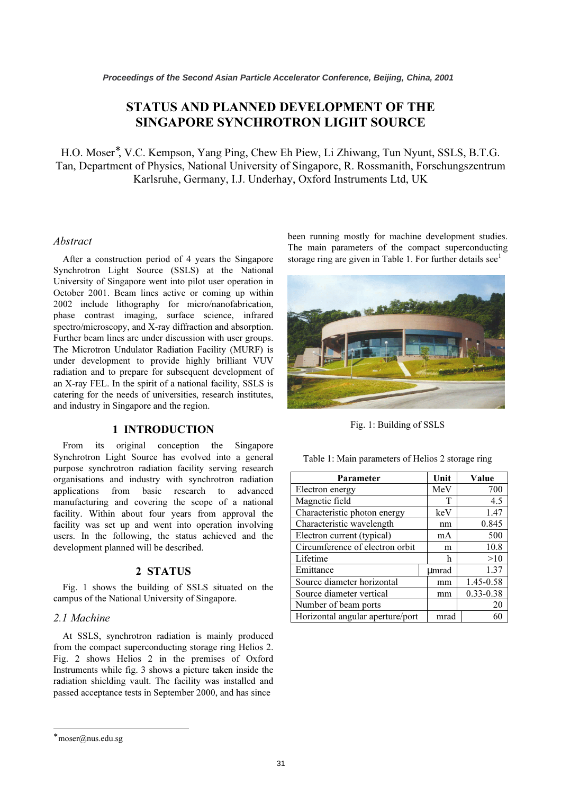# STATUS AND PLANNED DEVELOPMENT OF THE SINGAPORE SYNCHROTRON LIGHT SOURCE

H.O. Moser<sup>\*</sup>, V.C. Kempson, Yang Ping, Chew Eh Piew, Li Zhiwang, Tun Nyunt, SSLS, B.T.G. Tan, Department of Physics, National University of Singapore, R. Rossmanith, Forschungszentrum Karlsruhe, Germany, I.J. Underhay, Oxford Instruments Ltd, UK

### Abstract

After a construction period of 4 years the Singapore Synchrotron Light Source (SSLS) at the National University of Singapore went into pilot user operation in October 2001. Beam lines active or coming up within 2002 include lithography for micro/nanofabrication, phase contrast imaging, surface science, infrared spectro/microscopy, and X-ray diffraction and absorption. Further beam lines are under discussion with user groups. The Microtron Undulator Radiation Facility (MURF) is under development to provide highly brilliant VUV radiation and to prepare for subsequent development of an X-ray FEL. In the spirit of a national facility, SSLS is catering for the needs of universities, research institutes, and industry in Singapore and the region.

### 1 INTRODUCTION

From its original conception the Singapore Synchrotron Light Source has evolved into a general purpose synchrotron radiation facility serving research organisations and industry with synchrotron radiation applications from basic research to advanced manufacturing and covering the scope of a national facility. Within about four years from approval the facility was set up and went into operation involving users. In the following, the status achieved and the development planned will be described.

## 2 STATUS

Fig. 1 shows the building of SSLS situated on the campus of the National University of Singapore.

## 2.1 Machine

At SSLS, synchrotron radiation is mainly produced from the compact superconducting storage ring Helios 2. Fig. 2 shows Helios 2 in the premises of Oxford Instruments while fig. 3 shows a picture taken inside the radiation shielding vault. The facility was installed and passed acceptance tests in September 2000, and has since

been running mostly for machine development studies. The main parameters of the compact superconducting storage ring are given in Table 1. For further details  $\sec^1$ 



Fig. 1: Building of SSLS

Table 1: Main parameters of Helios 2 storage ring

| Parameter                        | Unit  | Value     |
|----------------------------------|-------|-----------|
| Electron energy                  | MeV   | 700       |
| Magnetic field                   | т     | 4.5       |
| Characteristic photon energy     | keV   | 1.47      |
| Characteristic wavelength        | nm    | 0.845     |
| Electron current (typical)       | mA    | 500       |
| Circumference of electron orbit  | m     | 10.8      |
| Lifetime                         | h     | >10       |
| Emittance                        | umrad | 1.37      |
| Source diameter horizontal       | mm    | 1.45-0.58 |
| Source diameter vertical         | mm    | 0.33-0.38 |
| Number of beam ports             |       | 20        |
| Horizontal angular aperture/port | mrad  |           |

 $\overline{a}$ 

<sup>∗</sup> moser@nus.edu.sg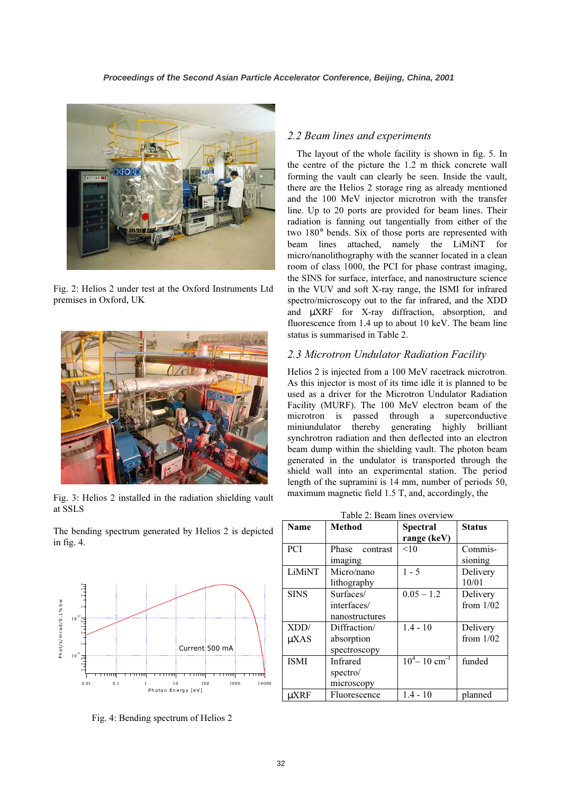

Fig. 2: Helios 2 under test at the Oxford Instruments Ltd premises in Oxford, UK



Fig. 3: Helios 2 installed in the radiation shielding vault at SSLS

The bending spectrum generated by Helios 2 is depicted in fig. 4.



Fig. 4: Bending spectrum of Helios 2

#### 2.2 Beam lines and experiments

The layout of the whole facility is shown in fig. 5. In the centre of the picture the 1.2 m thick concrete wall forming the vault can clearly be seen. Inside the vault, there are the Helios 2 storage ring as already mentioned and the 100 MeV injector microtron with the transfer line. Up to 20 ports are provided for beam lines. Their radiation is fanning out tangentially from either of the two 180° bends. Six of those ports are represented with beam lines attached, namely the LiMiNT for micro/nanolithography with the scanner located in a clean room of class 1000, the PCI for phase contrast imaging, the SINS for surface, interface, and nanostructure science in the VUV and soft X-ray range, the ISMI for infrared spectro/microscopy out to the far infrared, and the XDD and µXRF for X-ray diffraction, absorption, and fluorescence from 1.4 up to about 10 keV. The beam line status is summarised in Table 2.

#### 2.3 Microtron Undulator Radiation Facility

Helios 2 is injected from a 100 MeV racetrack microtron. As this injector is most of its time idle it is planned to be used as a driver for the Microtron Undulator Radiation Facility (MURF). The 100 MeV electron beam of the microtron is passed through a superconductive miniundulator thereby generating highly brilliant synchrotron radiation and then deflected into an electron beam dump within the shielding vault. The photon beam generated in the undulator is transported through the shield wall into an experimental station. The period length of the supramini is 14 mm, number of periods 50, maximum magnetic field 1.5 T, and, accordingly, the

|  | Table 2: Beam lines overview |
|--|------------------------------|
|  |                              |

| <b>Name</b> | <b>Method</b>  | <b>Spectral</b>                         | <b>Status</b> |
|-------------|----------------|-----------------------------------------|---------------|
|             |                | range (keV)                             |               |
| <b>PCI</b>  | Phase contrast | <10                                     | Commis-       |
|             | imaging        |                                         | sioning       |
| LiMiNT      | Micro/nano     | $1 - 5$                                 | Delivery      |
|             | lithography    |                                         | 10/01         |
| <b>SINS</b> | Surfaces/      | $0.05 - 1.2$                            | Delivery      |
|             | interfaces/    |                                         | from $1/02$   |
|             | nanostructures |                                         |               |
| XDD/        | Diffraction/   | $1.4 - 10$                              | Delivery      |
| $\mu$ XAS   | absorption     |                                         | from $1/02$   |
|             | spectroscopy   |                                         |               |
| <b>ISMI</b> | Infrared       | $\overline{10^4}$ – 10 cm <sup>-1</sup> | funded        |
|             | spectro/       |                                         |               |
|             | microscopy     |                                         |               |
| uXRF        | Fluorescence   | $1.4 - 10$                              | planned       |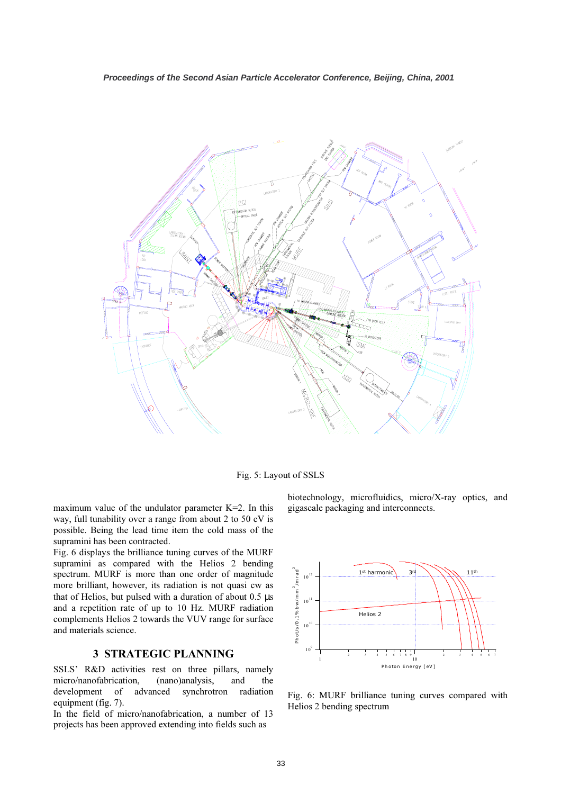

Fig. 5: Layout of SSLS

maximum value of the undulator parameter K=2. In this way, full tunability over a range from about 2 to 50 eV is possible. Being the lead time item the cold mass of the supramini has been contracted.

Fig. 6 displays the brilliance tuning curves of the MURF supramini as compared with the Helios 2 bending spectrum. MURF is more than one order of magnitude more brilliant, however, its radiation is not quasi cw as that of Helios, but pulsed with a duration of about 0.5 µs and a repetition rate of up to 10 Hz. MURF radiation complements Helios 2 towards the VUV range for surface and materials science.

# 3 STRATEGIC PLANNING

SSLS' R&D activities rest on three pillars, namely micro/nanofabrication, (nano)analysis, and the development of advanced synchrotron radiation equipment (fig. 7).

In the field of micro/nanofabrication, a number of 13 projects has been approved extending into fields such as

biotechnology, microfluidics, micro/X-ray optics, and gigascale packaging and interconnects.



Fig. 6: MURF brilliance tuning curves compared with Helios 2 bending spectrum